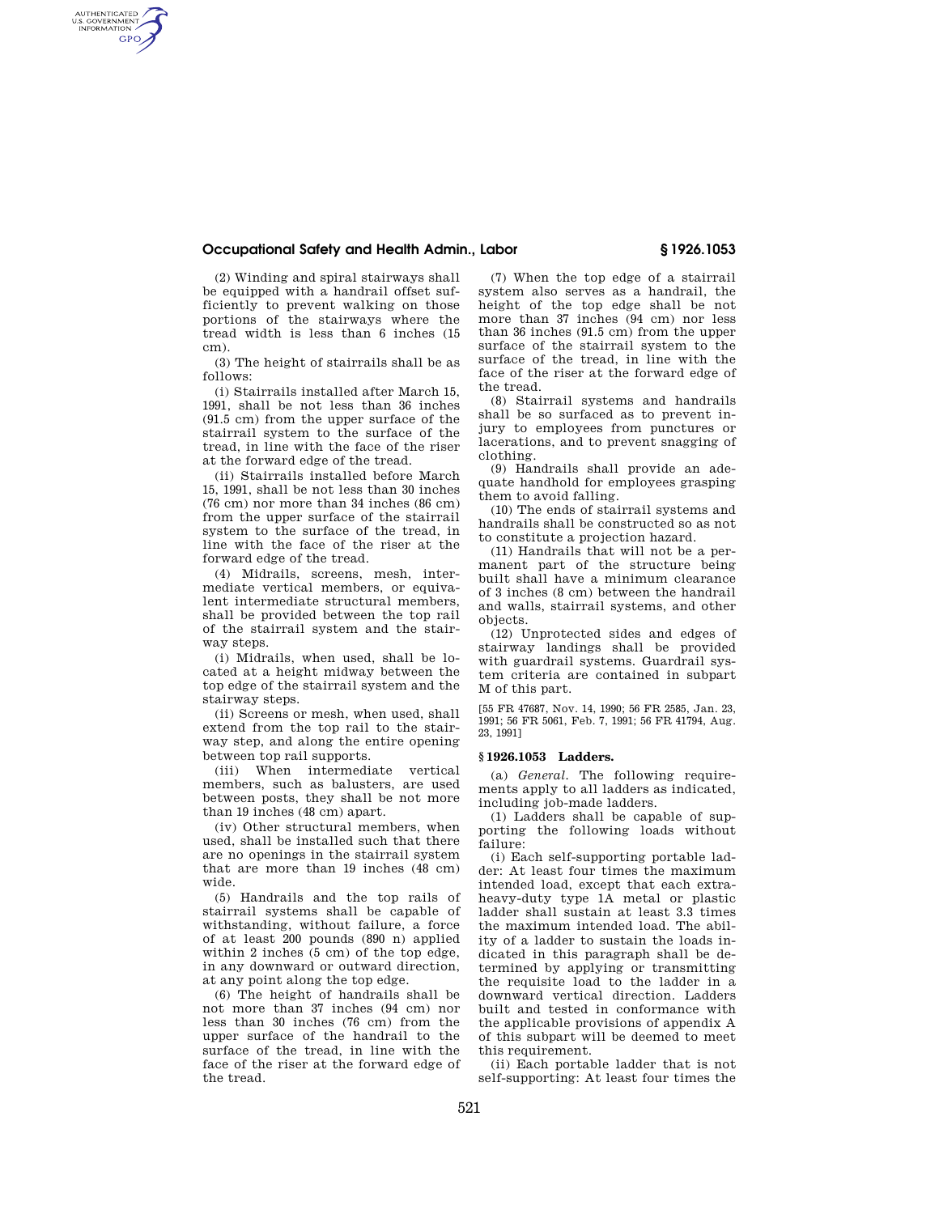### **Occupational Safety and Health Admin., Labor § 1926.1053**

(2) Winding and spiral stairways shall be equipped with a handrail offset sufficiently to prevent walking on those portions of the stairways where the tread width is less than 6 inches (15 cm).

AUTHENTICATED<br>U.S. GOVERNMENT<br>INFORMATION **GPO** 

> (3) The height of stairrails shall be as follows:

> (i) Stairrails installed after March 15, 1991, shall be not less than 36 inches (91.5 cm) from the upper surface of the stairrail system to the surface of the tread, in line with the face of the riser at the forward edge of the tread.

> (ii) Stairrails installed before March 15, 1991, shall be not less than 30 inches (76 cm) nor more than 34 inches (86 cm) from the upper surface of the stairrail system to the surface of the tread, in line with the face of the riser at the forward edge of the tread.

> (4) Midrails, screens, mesh, intermediate vertical members, or equivalent intermediate structural members, shall be provided between the top rail of the stairrail system and the stairway steps.

> (i) Midrails, when used, shall be located at a height midway between the top edge of the stairrail system and the stairway steps.

> (ii) Screens or mesh, when used, shall extend from the top rail to the stairway step, and along the entire opening between top rail supports.

> (iii) When intermediate vertical members, such as balusters, are used between posts, they shall be not more than 19 inches (48 cm) apart.

> (iv) Other structural members, when used, shall be installed such that there are no openings in the stairrail system that are more than 19 inches (48 cm) wide.

> (5) Handrails and the top rails of stairrail systems shall be capable of withstanding, without failure, a force of at least 200 pounds (890 n) applied within 2 inches (5 cm) of the top edge, in any downward or outward direction, at any point along the top edge.

> (6) The height of handrails shall be not more than 37 inches (94 cm) nor less than 30 inches (76 cm) from the upper surface of the handrail to the surface of the tread, in line with the face of the riser at the forward edge of the tread.

(7) When the top edge of a stairrail system also serves as a handrail, the height of the top edge shall be not more than 37 inches (94 cm) nor less than 36 inches (91.5 cm) from the upper surface of the stairrail system to the surface of the tread, in line with the face of the riser at the forward edge of the tread.

(8) Stairrail systems and handrails shall be so surfaced as to prevent injury to employees from punctures or lacerations, and to prevent snagging of clothing.

(9) Handrails shall provide an adequate handhold for employees grasping them to avoid falling.

(10) The ends of stairrail systems and handrails shall be constructed so as not to constitute a projection hazard.

(11) Handrails that will not be a permanent part of the structure being built shall have a minimum clearance of 3 inches (8 cm) between the handrail and walls, stairrail systems, and other objects.

(12) Unprotected sides and edges of stairway landings shall be provided with guardrail systems. Guardrail system criteria are contained in subpart M of this part.

[55 FR 47687, Nov. 14, 1990; 56 FR 2585, Jan. 23, 1991; 56 FR 5061, Feb. 7, 1991; 56 FR 41794, Aug. 23, 1991]

## **§ 1926.1053 Ladders.**

(a) *General.* The following requirements apply to all ladders as indicated, including job-made ladders.

(1) Ladders shall be capable of supporting the following loads without failure:

(i) Each self-supporting portable ladder: At least four times the maximum intended load, except that each extraheavy-duty type 1A metal or plastic ladder shall sustain at least 3.3 times the maximum intended load. The ability of a ladder to sustain the loads indicated in this paragraph shall be determined by applying or transmitting the requisite load to the ladder in a downward vertical direction. Ladders built and tested in conformance with the applicable provisions of appendix A of this subpart will be deemed to meet this requirement.

(ii) Each portable ladder that is not self-supporting: At least four times the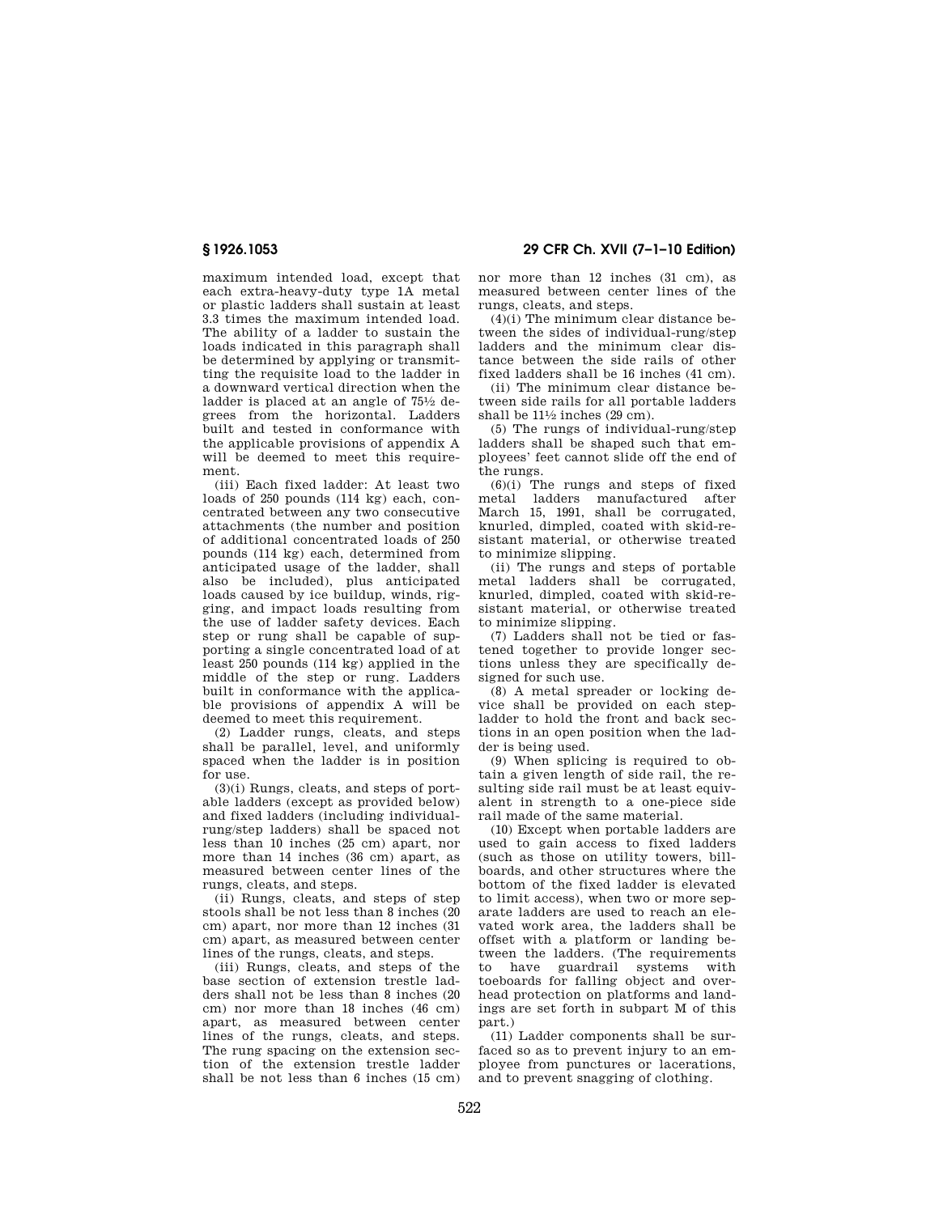maximum intended load, except that each extra-heavy-duty type 1A metal or plastic ladders shall sustain at least 3.3 times the maximum intended load. The ability of a ladder to sustain the loads indicated in this paragraph shall be determined by applying or transmitting the requisite load to the ladder in a downward vertical direction when the ladder is placed at an angle of  $75\frac{1}{2}$  degrees from the horizontal. Ladders built and tested in conformance with the applicable provisions of appendix A will be deemed to meet this requirement.

(iii) Each fixed ladder: At least two loads of 250 pounds (114 kg) each, concentrated between any two consecutive attachments (the number and position of additional concentrated loads of 250 pounds (114 kg) each, determined from anticipated usage of the ladder, shall also be included), plus anticipated loads caused by ice buildup, winds, rigging, and impact loads resulting from the use of ladder safety devices. Each step or rung shall be capable of supporting a single concentrated load of at least 250 pounds (114 kg) applied in the middle of the step or rung. Ladders built in conformance with the applicable provisions of appendix A will be deemed to meet this requirement.

(2) Ladder rungs, cleats, and steps shall be parallel, level, and uniformly spaced when the ladder is in position for use.

(3)(i) Rungs, cleats, and steps of portable ladders (except as provided below) and fixed ladders (including individualrung/step ladders) shall be spaced not less than 10 inches (25 cm) apart, nor more than 14 inches (36 cm) apart, as measured between center lines of the rungs, cleats, and steps.

(ii) Rungs, cleats, and steps of step stools shall be not less than 8 inches (20 cm) apart, nor more than 12 inches (31 cm) apart, as measured between center lines of the rungs, cleats, and steps.

(iii) Rungs, cleats, and steps of the base section of extension trestle ladders shall not be less than 8 inches (20 cm) nor more than 18 inches (46 cm) apart, as measured between center lines of the rungs, cleats, and steps. The rung spacing on the extension section of the extension trestle ladder shall be not less than 6 inches (15 cm)

nor more than 12 inches (31 cm), as measured between center lines of the rungs, cleats, and steps.

 $(4)(i)$  The minimum clear distance between the sides of individual-rung/step ladders and the minimum clear distance between the side rails of other fixed ladders shall be 16 inches (41 cm).

(ii) The minimum clear distance between side rails for all portable ladders shall be  $11\frac{1}{2}$  inches  $(29 \text{ cm})$ .

(5) The rungs of individual-rung/step ladders shall be shaped such that employees' feet cannot slide off the end of the rungs.

 $(6)(i)$  The rungs and steps of fixed metal ladders manufactured after March 15, 1991, shall be corrugated, knurled, dimpled, coated with skid-resistant material, or otherwise treated to minimize slipping.

(ii) The rungs and steps of portable metal ladders shall be corrugated, knurled, dimpled, coated with skid-resistant material, or otherwise treated to minimize slipping.

(7) Ladders shall not be tied or fastened together to provide longer sections unless they are specifically designed for such use.

(8) A metal spreader or locking device shall be provided on each stepladder to hold the front and back sections in an open position when the ladder is being used.

(9) When splicing is required to obtain a given length of side rail, the resulting side rail must be at least equivalent in strength to a one-piece side rail made of the same material.

(10) Except when portable ladders are used to gain access to fixed ladders (such as those on utility towers, billboards, and other structures where the bottom of the fixed ladder is elevated to limit access), when two or more separate ladders are used to reach an elevated work area, the ladders shall be offset with a platform or landing between the ladders. (The requirements to have guardrail systems with toeboards for falling object and overhead protection on platforms and landings are set forth in subpart M of this part.)

(11) Ladder components shall be surfaced so as to prevent injury to an employee from punctures or lacerations, and to prevent snagging of clothing.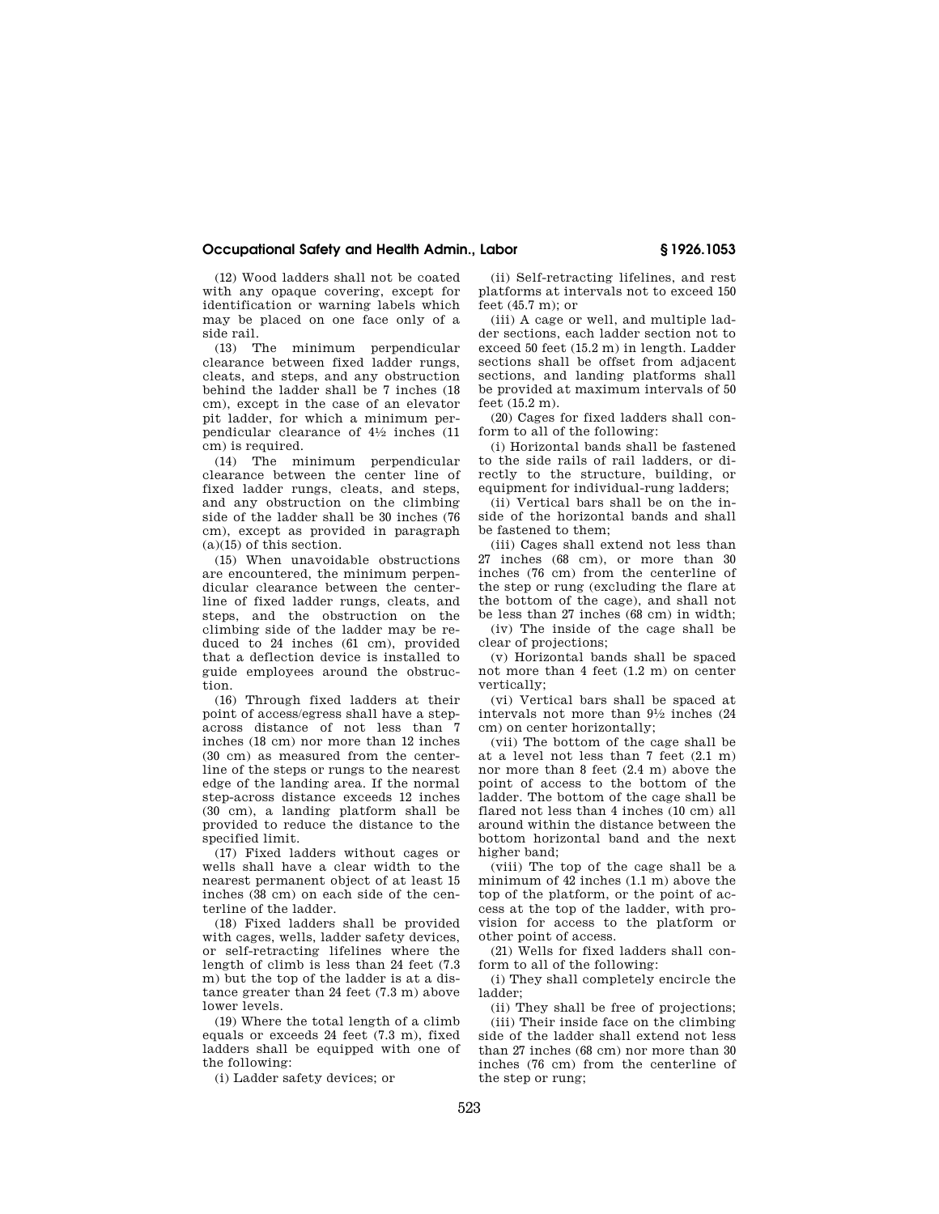### **Occupational Safety and Health Admin., Labor § 1926.1053**

(12) Wood ladders shall not be coated with any opaque covering, except for identification or warning labels which may be placed on one face only of a side rail.

(13) The minimum perpendicular clearance between fixed ladder rungs, cleats, and steps, and any obstruction behind the ladder shall be 7 inches (18 cm), except in the case of an elevator pit ladder, for which a minimum perpendicular clearance of 41⁄2 inches (11 cm) is required.

(14) The minimum perpendicular clearance between the center line of fixed ladder rungs, cleats, and steps, and any obstruction on the climbing side of the ladder shall be 30 inches (76 cm), except as provided in paragraph  $(a)(15)$  of this section.

(15) When unavoidable obstructions are encountered, the minimum perpendicular clearance between the centerline of fixed ladder rungs, cleats, and steps, and the obstruction on the climbing side of the ladder may be reduced to 24 inches (61 cm), provided that a deflection device is installed to guide employees around the obstruction.

(16) Through fixed ladders at their point of access/egress shall have a stepacross distance of not less than 7 inches (18 cm) nor more than 12 inches (30 cm) as measured from the centerline of the steps or rungs to the nearest edge of the landing area. If the normal step-across distance exceeds 12 inches (30 cm), a landing platform shall be provided to reduce the distance to the specified limit.

(17) Fixed ladders without cages or wells shall have a clear width to the nearest permanent object of at least 15 inches (38 cm) on each side of the centerline of the ladder.

(18) Fixed ladders shall be provided with cages, wells, ladder safety devices, or self-retracting lifelines where the length of climb is less than 24 feet (7.3 m) but the top of the ladder is at a distance greater than 24 feet (7.3 m) above lower levels.

(19) Where the total length of a climb equals or exceeds 24 feet (7.3 m), fixed ladders shall be equipped with one of the following:

(i) Ladder safety devices; or

(ii) Self-retracting lifelines, and rest platforms at intervals not to exceed 150 feet  $(45.7 \text{ m})$ ; or

(iii) A cage or well, and multiple ladder sections, each ladder section not to exceed 50 feet (15.2 m) in length. Ladder sections shall be offset from adjacent sections, and landing platforms shall be provided at maximum intervals of 50 feet (15.2 m).

(20) Cages for fixed ladders shall conform to all of the following:

(i) Horizontal bands shall be fastened to the side rails of rail ladders, or directly to the structure, building, or equipment for individual-rung ladders;

(ii) Vertical bars shall be on the inside of the horizontal bands and shall be fastened to them;

(iii) Cages shall extend not less than 27 inches (68 cm), or more than 30 inches (76 cm) from the centerline of the step or rung (excluding the flare at the bottom of the cage), and shall not be less than 27 inches (68 cm) in width;

(iv) The inside of the cage shall be clear of projections;

(v) Horizontal bands shall be spaced not more than 4 feet (1.2 m) on center vertically;

(vi) Vertical bars shall be spaced at intervals not more than 91⁄2 inches (24 cm) on center horizontally;

(vii) The bottom of the cage shall be at a level not less than 7 feet (2.1 m) nor more than 8 feet (2.4 m) above the point of access to the bottom of the ladder. The bottom of the cage shall be flared not less than 4 inches (10 cm) all around within the distance between the bottom horizontal band and the next higher band;

(viii) The top of the cage shall be a minimum of 42 inches (1.1 m) above the top of the platform, or the point of access at the top of the ladder, with provision for access to the platform or other point of access.

(21) Wells for fixed ladders shall conform to all of the following:

(i) They shall completely encircle the ladder;

(ii) They shall be free of projections; (iii) Their inside face on the climbing side of the ladder shall extend not less than 27 inches (68 cm) nor more than 30 inches (76 cm) from the centerline of the step or rung;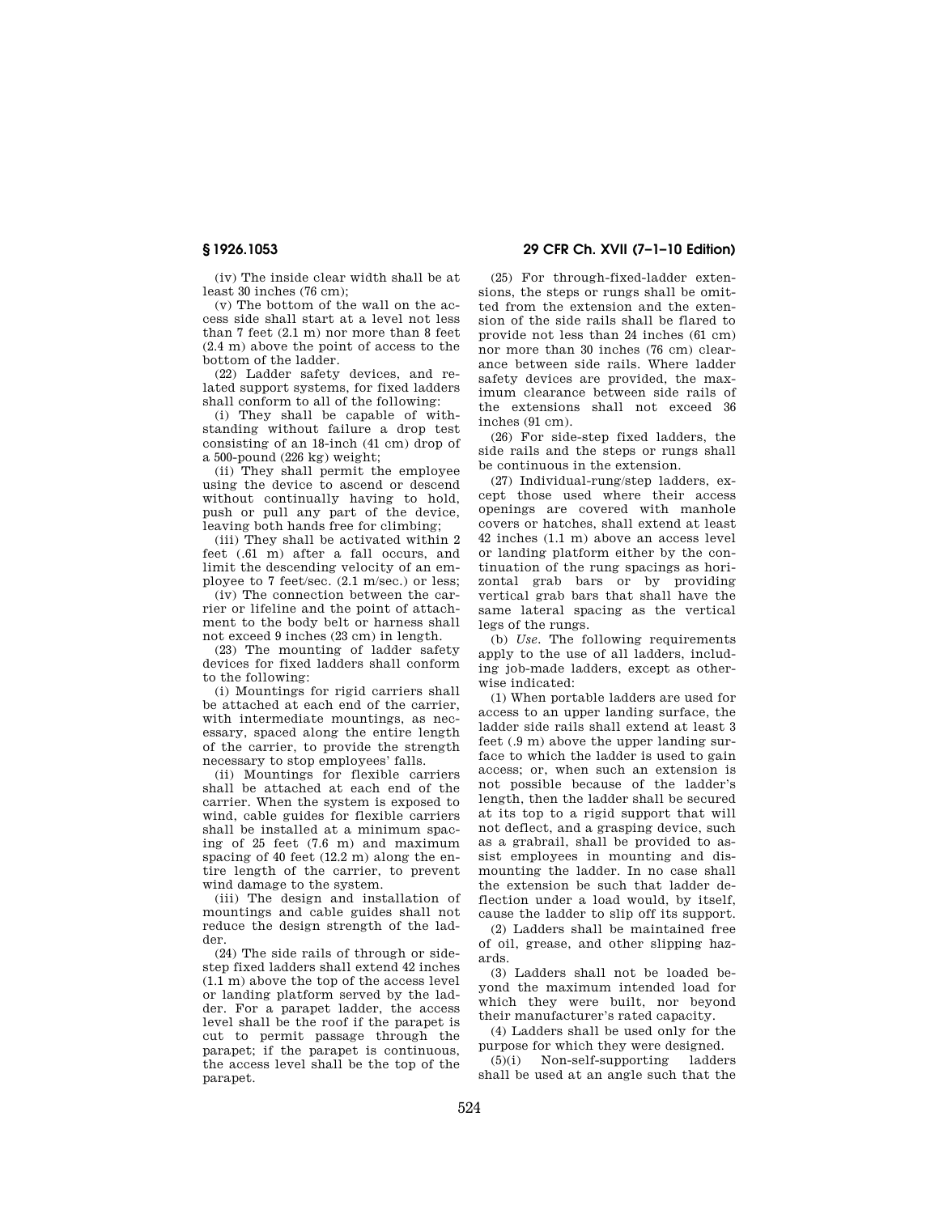**§ 1926.1053 29 CFR Ch. XVII (7–1–10 Edition)** 

(iv) The inside clear width shall be at least 30 inches (76 cm);

(v) The bottom of the wall on the access side shall start at a level not less than 7 feet (2.1 m) nor more than 8 feet (2.4 m) above the point of access to the bottom of the ladder.

(22) Ladder safety devices, and related support systems, for fixed ladders shall conform to all of the following:

(i) They shall be capable of withstanding without failure a drop test consisting of an 18-inch (41 cm) drop of a 500-pound (226 kg) weight;

(ii) They shall permit the employee using the device to ascend or descend without continually having to hold, push or pull any part of the device, leaving both hands free for climbing;

(iii) They shall be activated within 2 feet (.61 m) after a fall occurs, and limit the descending velocity of an employee to 7 feet/sec. (2.1 m/sec.) or less;

(iv) The connection between the carrier or lifeline and the point of attachment to the body belt or harness shall not exceed 9 inches (23 cm) in length.

(23) The mounting of ladder safety devices for fixed ladders shall conform to the following:

(i) Mountings for rigid carriers shall be attached at each end of the carrier, with intermediate mountings, as necessary, spaced along the entire length of the carrier, to provide the strength necessary to stop employees' falls.

(ii) Mountings for flexible carriers shall be attached at each end of the carrier. When the system is exposed to wind, cable guides for flexible carriers shall be installed at a minimum spacing of 25 feet (7.6 m) and maximum spacing of 40 feet (12.2 m) along the entire length of the carrier, to prevent wind damage to the system.

(iii) The design and installation of mountings and cable guides shall not reduce the design strength of the ladder.

(24) The side rails of through or sidestep fixed ladders shall extend 42 inches (1.1 m) above the top of the access level or landing platform served by the ladder. For a parapet ladder, the access level shall be the roof if the parapet is cut to permit passage through the parapet; if the parapet is continuous, the access level shall be the top of the parapet.

(25) For through-fixed-ladder extensions, the steps or rungs shall be omitted from the extension and the extension of the side rails shall be flared to provide not less than 24 inches (61 cm) nor more than 30 inches (76 cm) clearance between side rails. Where ladder safety devices are provided, the maximum clearance between side rails of the extensions shall not exceed 36 inches (91 cm).

(26) For side-step fixed ladders, the side rails and the steps or rungs shall be continuous in the extension.

(27) Individual-rung/step ladders, except those used where their access openings are covered with manhole covers or hatches, shall extend at least 42 inches (1.1 m) above an access level or landing platform either by the continuation of the rung spacings as horizontal grab bars or by providing vertical grab bars that shall have the same lateral spacing as the vertical legs of the rungs.

(b) *Use.* The following requirements apply to the use of all ladders, including job-made ladders, except as otherwise indicated:

(1) When portable ladders are used for access to an upper landing surface, the ladder side rails shall extend at least 3 feet (.9 m) above the upper landing surface to which the ladder is used to gain access; or, when such an extension is not possible because of the ladder's length, then the ladder shall be secured at its top to a rigid support that will not deflect, and a grasping device, such as a grabrail, shall be provided to assist employees in mounting and dismounting the ladder. In no case shall the extension be such that ladder deflection under a load would, by itself, cause the ladder to slip off its support.

(2) Ladders shall be maintained free of oil, grease, and other slipping hazards.

(3) Ladders shall not be loaded beyond the maximum intended load for which they were built, nor beyond their manufacturer's rated capacity.

(4) Ladders shall be used only for the purpose for which they were designed.

(5)(i) Non-self-supporting ladders shall be used at an angle such that the